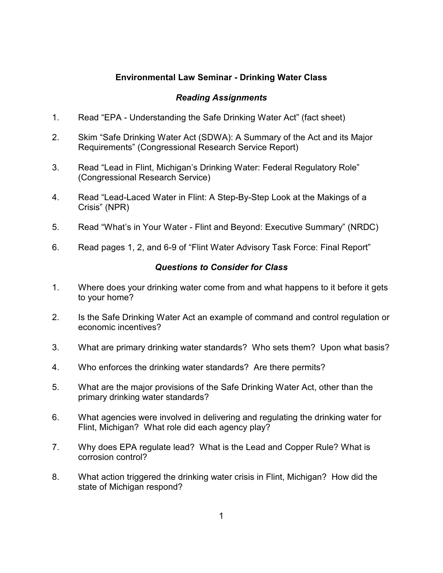## **Environmental Law Seminar - Drinking Water Class**

## *Reading Assignments*

- 1. Read "EPA Understanding the Safe Drinking Water Act" (fact sheet)
- 2. Skim "Safe Drinking Water Act (SDWA): A Summary of the Act and its Major Requirements" (Congressional Research Service Report)
- 3. Read "Lead in Flint, Michigan's Drinking Water: Federal Regulatory Role" (Congressional Research Service)
- 4. Read "Lead-Laced Water in Flint: A Step-By-Step Look at the Makings of a Crisis" (NPR)
- 5. Read "What's in Your Water Flint and Beyond: Executive Summary" (NRDC)
- 6. Read pages 1, 2, and 6-9 of "Flint Water Advisory Task Force: Final Report"

## *Questions to Consider for Class*

- 1. Where does your drinking water come from and what happens to it before it gets to your home?
- 2. Is the Safe Drinking Water Act an example of command and control regulation or economic incentives?
- 3. What are primary drinking water standards? Who sets them? Upon what basis?
- 4. Who enforces the drinking water standards? Are there permits?
- 5. What are the major provisions of the Safe Drinking Water Act, other than the primary drinking water standards?
- 6. What agencies were involved in delivering and regulating the drinking water for Flint, Michigan? What role did each agency play?
- 7. Why does EPA regulate lead? What is the Lead and Copper Rule? What is corrosion control?
- 8. What action triggered the drinking water crisis in Flint, Michigan? How did the state of Michigan respond?